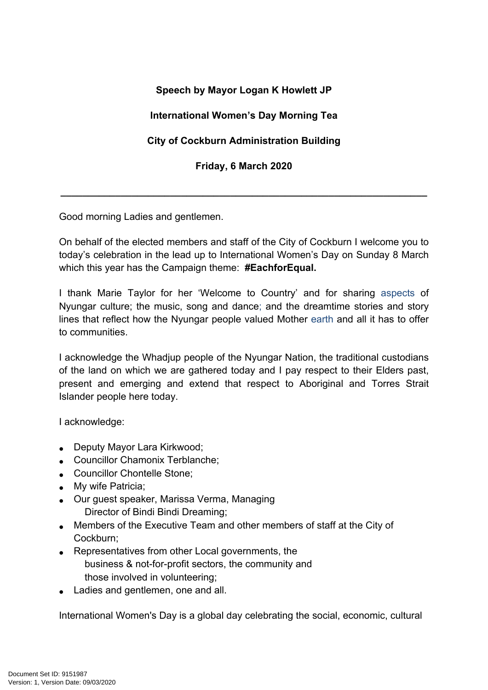## **Speech by Mayor Logan K Howlett JP**

## **International Women's Day Morning Tea**

## **City of Cockburn Administration Building**

**Friday, 6 March 2020**

**\_\_\_\_\_\_\_\_\_\_\_\_\_\_\_\_\_\_\_\_\_\_\_\_\_\_\_\_\_\_\_\_\_\_\_\_\_\_\_\_\_\_\_\_\_\_\_\_\_\_\_\_\_\_\_\_\_\_\_\_\_\_\_\_\_\_\_**

Good morning Ladies and gentlemen.

On behalf of the elected members and staff of the City of Cockburn I welcome you to today's celebration in the lead up to International Women's Day on Sunday 8 March which this year has the Campaign theme: **#EachforEqual.**

I thank Marie Taylor for her 'Welcome to Country' and for sharing aspects of Nyungar culture; the music, song and dance; and the dreamtime stories and story lines that reflect how the Nyungar people valued Mother earth and all it has to offer to communities.

I acknowledge the Whadjup people of the Nyungar Nation, the traditional custodians of the land on which we are gathered today and I pay respect to their Elders past, present and emerging and extend that respect to Aboriginal and Torres Strait Islander people here today.

I acknowledge:

- Deputy Mayor Lara Kirkwood;
- Councillor Chamonix Terblanche;
- Councillor Chontelle Stone;
- My wife Patricia;
- Our guest speaker, Marissa Verma, Managing Director of Bindi Bindi Dreaming;
- Members of the Executive Team and other members of staff at the City of Cockburn;
- Representatives from other Local governments, the business & not-for-profit sectors, the community and those involved in volunteering;
- Ladies and gentlemen, one and all.

International Women's Day is a global day celebrating the social, economic, cultural